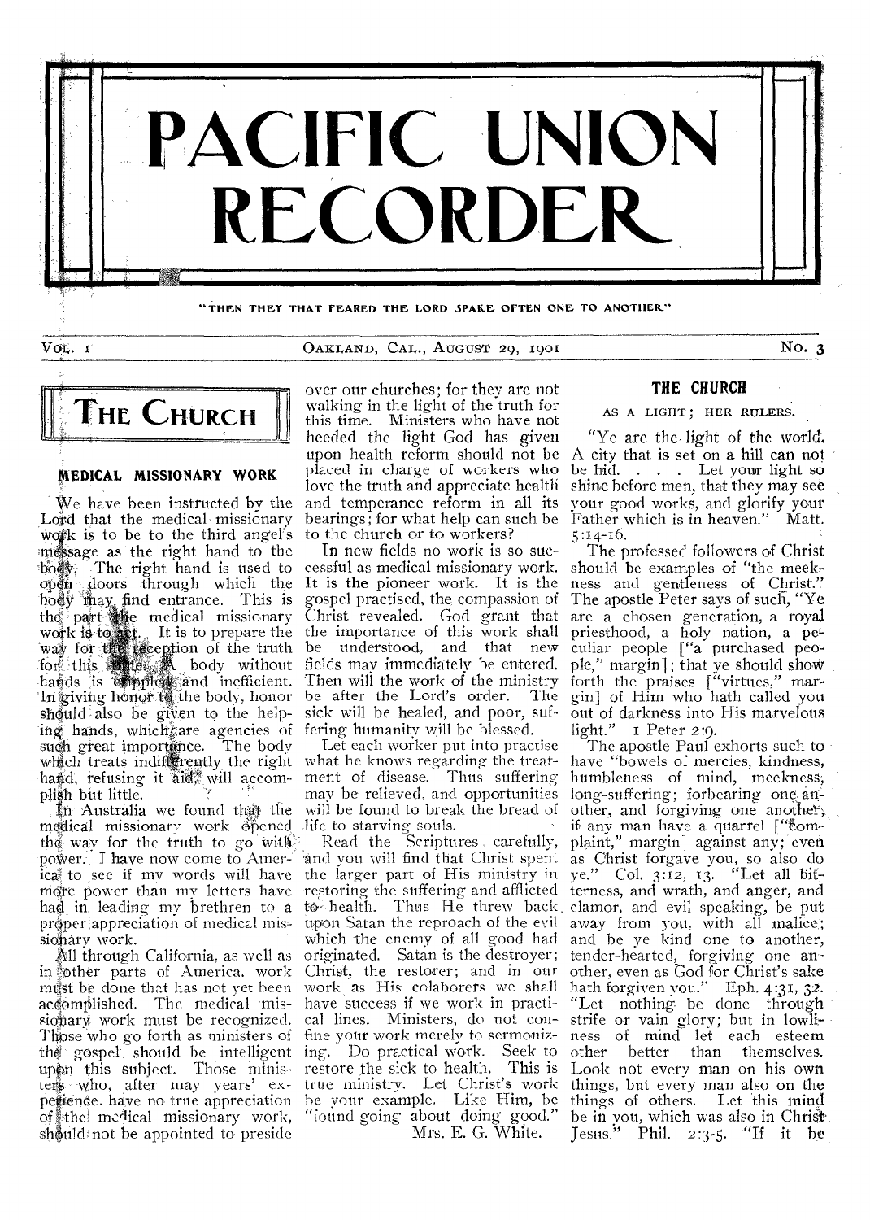

**THEN THEY THAT FEARED THE LORD SPAICE OFTEN ONE TO ANOTHER"** 

Vo<sub>t</sub>. *I* No. 3 CARLAND, CAL., AUGUST 29, 1901 No. 3



# MEDICAL MISSIONARY WORK

We have been instructed by the Lord that the medical missionary work is to be to the third angel's message as the right hand to the body. The right hand is used to open doors through which the hody may; find entrance. This is the part. e medical missionary work is to set. It is to prepare the way for the reception of the truth for this **the K** body without hands is **corplex** and inefficient. In giving honor.t6. the body, honor should also be given to the helping hands, which are agencies of such great importance. The body which treats indifferently the right what he knows regarding the treathand, refusing it all will accomplish but little.

In Australia we found that the medical missionary work obened the way for the truth to go with power: I have now come to America to see if my words will have the larger part of His ministry in more power than my letters have had in, leading my brethren to a proper appreciation of medical missionary work.

All through California, as well as in other parts of America. work must be done that has not yet been accomplished. The medical missionary work must be recognized. Those who go forth as ministers of fine your work merely to sermonizthe gospel should be intelligent upon this subject. Those ministers who, after may years' experience. have no true appreciation of the medical missionary work, should not be appointed to preside

over our churches; for they are not walking in the light of the truth for this time. Ministers who have not heeded the light God has given upon health reform should not be placed in charge of workers who love the truth and appreciate health and temperance reform in all its bearings; for what help can such be to the church or to workers?

In new fields no work is so successful as medical missionary work. It is the pioneer work. It is the gospel practised, the compassion of Christ revealed. God grant that the importance of this work shall be understood, and that new fields may immediately he entered. Then will the work of the ministry be after the Lord's order. The sick will be healed, and poor, suffering humanity will be blessed.

Let each worker put into practise ment of disease. Thus suffering may he relieved, and opportunities will be found to break the bread of life to starving souls.

Read the Scriptures carefully, and you will find that Christ spent -restoring the suffering and afflicted to health. Thus He threw back clamor, and evil speaking, be put upon Satan the reproach of the evil which the enemy of all good had originated. Satan is the destroyer; Christ, the restorer; and in our work as His colaborers we shall have success if we work in practical lines. Ministers, do not coning. Do practical work. Seek to restore the sick to health. This is true ministry. Let Christ's work be your example. Like Him, be "found going about doing good." Mrs. E. G. White.

## **THE CHURCH**

AS A LIGHT; HER RULERS.

"Ye are the light of the world. A city that is set on a hill can not be hid. . . . Let your light so shine before men, that they may see Your good works, and glorify your Father which is in heaven." Matt. 5:14-16.

The professed followers of Christ should be examples of "the meek, ness and gentleness of Christ." The apostle Peter says of such, "Ye are a chosen generation, a royal priesthood, a holy nation, a peculiar people ["a purchased people," margin]; that Ye should shoW forth the praises ["virtues," margin] of Him who bath called you out of darkness into His marvelous light." I Peter 2:9.

The apostle Paul exhorts such to have "bowels of mercies, kindness, humbleness of mind, meekness,' long-suffering; forbearing one an. other, and forgiving one another, if any man have a quarrel ["complaint," margin] against any; even as Christ forgave you, so also do ye." Col. 3:12, 13. "Let all bitterness, and wrath, and anger, and away from you, with all malice:; and he ye kind one to another, tender-hearted, forgiving one another, even as God for Christ's sake hath forgiven you." Eph.  $4:31$ ,  $32$ . "Let nothing be done through strife or vain glory; but in lowli- ness of mind let each esteem other better than themselves. Look not every man on his own things, but every man also on the things of others. Let this mind. be in you, which was also in Christ Jesus." Phil. 2 :3-5. "If it be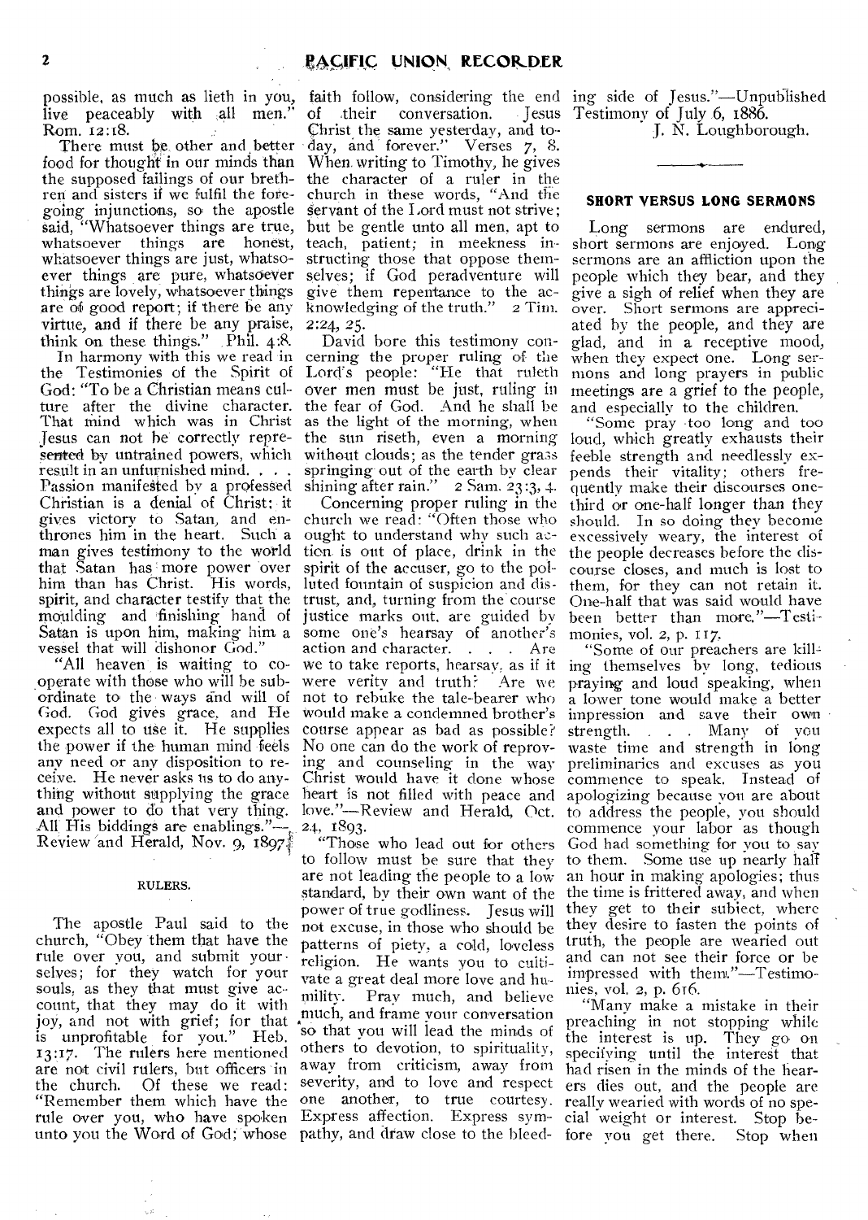possible, as much as lieth in you, live peaceably with all men." Rom. 12:18.

There must be other and better food for thought in our minds than the supposed failings of our brethren and sisters if we fulfil the foregoing injunctions, so the apostle said, "Whatsoever things are true, whatsoever things are honest, whatsoever things are just, whatsoever things are pure, whatsoever things are lovely, whatsoever things are of good report; if there be any virtue, and if there be any praise, think on these things." , Phil. 4:8.

In harmony with this we read in the Testimonies of the Spirit of Lord's people: "He that ruleth God: "To be a Christian means culture after the divine character. That mind which was in Christ Jesus can not he' correctly represented by untrained powers, which without clouds; as the tender grass result in an unfurnished mind. , . . Passion manifested by a professed Christian is a denial of Christ:. it gives victory to Satan, and enthrones him in the heart. Such a man gives testimony to the world tion, is out of place, drink in the that Satan has more power over him than has Christ. His words, spirit, and character testify that the moulding and finishing hand of justice marks out, are guided by Satan is upon him, making him a vessel that will dishonor God."

"All heaven is waiting to cooperate with those who will he subordinate to the • ways and will of God. God gives grace, and He expects all to use it. He supplies the power if the human mind feels any need or any disposition to receive. He never asks us to do anything without supplying the grace and power to do that very thing. All His biddings are enablings."-Review and Herald, Nov. 9, 1897.

#### RULERS.

The apostle Paul said to the church, "Obey them that have the rule over you, and submit your selves; for they watch for your souls, as they that must give account, that they may do it with joy, and not with grief; for that is unprofitable for you." Heb. 13;17. The rulers here mentioned are not civil rulers, but officers in<br>the church. Of these we read: Of these we read: "Remember them which have the rule over you, who have spoken Express affection. Express symunto you the Word of God; whose pathy, and draw close to the bleed-

faith follow, considering the end ing side of Jesus."—Unpublished of their conversation. Christ the same yesterday, and today, and forever." Verses 7, 8. When. writing to Timothy, he gives the character of a ruler in the church in these words, "And the servant of the Lord must not strive; but be gentle unto all men, apt to teach, patient; in meekness instructing those that oppose themselves; if God peradventure will give them repentance to the ac-<br>knowledging of the truth." 2 Tim. knowledging of the truth." 2:24, 25.

David bore this testimony concerning the proper ruling of the over men must be just, ruling in the fear of God. And he shall be as the light of the morning, when the sun riseth, even a morning springing-out of the earth by clear shining after rain." 2 Sam. 23:3, 4.

Concerning proper ruling in the church we read: "Often those who ought to understand why such acspirit of the accuser, go to the polluted fountain of suspicion and distrust, and, turning from the course some one's hearsay of another's action and character. . . . Are we to take reports, hearsay, as if it were verity and truth? Are we not to rebuke the tale-bearer who Would make a condemned brother's course appear as had as possible? No one can do the work of reproving and counseling in the way Christ would have it done whose heart is not filled with peace and love."—Review and Herald, Oct. 24, 1893.

"Those who lead out for others to follow must be sure that they are not leading the people to a low standard, by their own want of the power of true godliness. Jesus will not excuse, in those who should be patterns of piety, a cold, loveless religion. He wants you to cultivate a great deal more love and humility. Pray much, and believe much, and frame your conversation so that you will lead the minds of others to devotion, to spirituality, away from criticism, away from severity, and to love and respect one another, to true courtesy.

Jesus Testimony of July 6, 1886.

J. N. Loughborough.

## **SHORT VERSUS LONG SERMONS**

Long sermons are endured, short sermons are enjoyed. Long sermons are an affliction upon the people which they bear, and they give a sigh of relief when they are over. Short sermons are appreciated by the people, and they are glad, and in a receptive mood, when they expect one. Long sermons and long prayers in public meetings are a grief to the people, and especially to the children.

"Some pray •too long and too loud, which greatly exhausts their feeble strength and needlessly expends their vitality; others frequently make their discourses onethird or one-half longer than they should. In so doing they become excessively weary, the interest of the people decreases before the discourse closes, and much is lost to them, for they can not retain it. One-half that was said would have been better than more."—Testimonies, vol. 2, p. 117.

"Some of our preachers are kill., ing themselves by long, tedious praying and loud speaking, when a lower tone would make a better impression and save their own strength. . . . Many of you waste time and strength in long preliminaries and excuses as you commence to speak. Instead of apologizing because you are about to address the people, you should commence your labor as though God had something for you to say to them. Some use up nearly hall an hour in making apologies; thus the time is frittered away, and when they get to their subject, where they desire to fasten the points of truth, the people are wearied out and can not see their force or be impressed with them."—Testimonies, vol. 2, p. 616.

"Many make a mistake in their preaching in not stopping while the interest is up. They go on specifying until the interest that had risen in the minds of the hearers dies out, and the people are really wearied with words of no special weight or interest. Stop before you get there. Stop when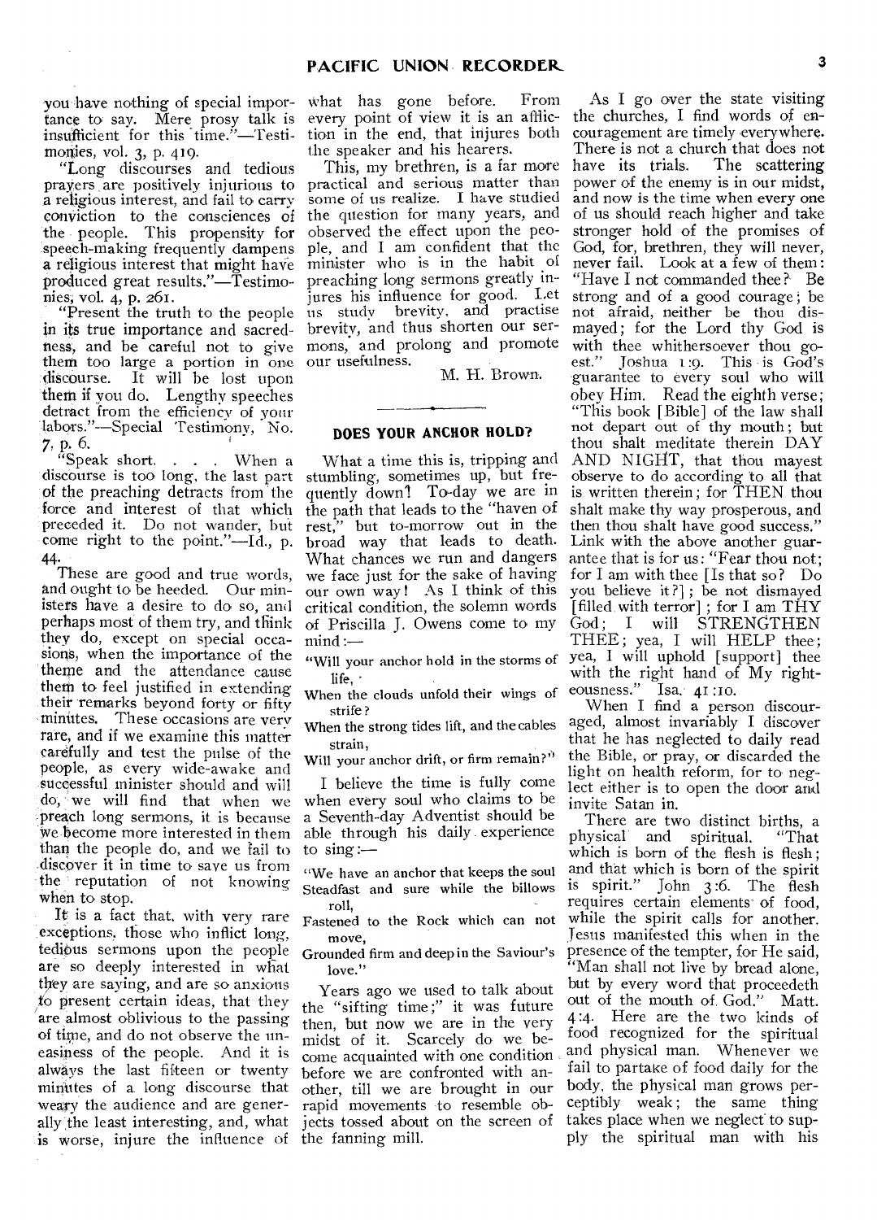tance to say. Mere prosy talk is every point of view it is an afflicinsufficient for this time."—Testi- tion in the end, that injures both monies, vol. 3, p. 419.

"Long discourses and tedious prayers are positively injurious to a religious interest, and fail to carry conviction to the consciences of the people. This propensity for 'speech-making frequently dampens a religious interest that might have minister who is in the habit of produced great results."—Testimonies, vol. 4, p. 261.

"Present the truth to the people in its true importance and sacredness, and be careful not to give them too large a portion in one discourse. It will be lost upon them if you do. Lengthy speeches detract from the efficiency of your labors."-Special Testimony, No.

 $7, p. 6.$ <br>"Speak short, . . . When a discourse is too long, the last part of the preaching detracts from the force and interest of that which preceded it. Do not wander, but come right to the point."—Id., p. 44.

These are good and true words, and ought to be heeded. Our ministers have a desire to do so, and perhaps most of them try, and think they do, except on special occasions, when the importance of the theme and the attendance cause them to feel justified in extending their remarks beyond forty or fifty minutes. These occasions are very rare, and if we examine this matter carefully and test the pulse of the people, as every wide-awake and successful minister should and will  $\text{do}, \dot{\mathbb{W}}$  we will find that when we -preach long sermons, it is because become more interested in them than the people do, and we fail to -discover it in time to save us from the ' reputation of not knowing when to stop.

It is a fact that, with very rare exceptions, those who inflict long, tedious sermons upon the people are so deeply interested in what they are saying, and are so anxious to present certain ideas, that they are almost oblivious to the passing of time, and do not observe the uneasiness of the people. And it is always the last fifteen or twenty minutes of a long discourse that weary the audience and are generally the least interesting, and, what is worse, injure the influence of

you have nothing of special impor- what has gone before. From the speaker and his hearers.

> This, my brethren, is a far more practical and serious matter than some of us realize. I have studied the question for many years, and observed the effect upon the people, and I am. confident that the preaching long sermons greatly inintes his influence for good. Let us study brevity, and practise brevity, and thus shorten our sermons, and prolong and promote our usefulness.

M. H. Brown.

## **DOES YOUR ANCHOR HOLD?**

What a time this is, tripping and stumbling, sometimes up, but frequently downl To-day we are in the path that leads to the "haven of rest," but to-morrow out in the broad way that leads to death. What chances we run and dangers we face just for the sake of having our own way ! As I think of this critical condition, the solemn words of Priscilla J. Owens come to my mind :—

"Will your anchor hold in the storms of life,

When the clouds unfold their wings of strife ?

When the strong tides lift, and the cables strain,

Will your anchor drift, or firm remain?"

I believe the time is fully come when every soul who claims to be a Seventh-day Adventist should be able through his daily experience to  $sing$ : $-$ 

"We have an anchor that keeps the soul Steadfast and sure while the billows roll,

move,

Grounded firm and deep in the Saviour's love."

Years ago we used to talk about the "sifting time ;" it was future then, but now we are in the very midst of it. Scarcely do we become acquainted with one condition before we are confronted with another, till we are brought in our rapid movements to resemble objects tossed about on the screen of the fanning mill.

As I go over the state visiting the churches, I find words of encouragement are timely everywhere. There is not a church that does not<br>have its trials. The scattering have its trials. power of the enemy is in our midst, and now is the time when every one of us should reach higher and take stronger hold of the promises of God, for, brethren, they will never, never fail. Look at a few of them : "Have I not commanded thee ? Be strong and of a good courage ; be not afraid, neither be thou dismayed; for the Lord thy God is with thee whithersoever thou goest." Joshua 1:o. This is God's guarantee to every soul who will obey Him. Read the eighth verse; "This book [Bible] of the law shall not depart out of thy mouth ; but thou shalt meditate therein DAY AND NIGHT, that thou mayest observe to do according 'to all that is written therein ; for THEN thou shalt make thy way prosperous, and then thou shalt have good success." Link with the above another guarantee that is for us: "Fear thou not; for I am with thee [Is that so? Do you believe it ?] ; be not dismayed [filled with terror] ; for I am THY God; I will STRENGTHEN THEE; yea, I will HELP thee; yea, I will uphold [support] thee with the right hand of My righteousness." Isa. 41:10.

When I find a person discouraged, almost invariably I discover that he has neglected to daily read the Bible, or pray, or discarded the light on health reform, for to neglect either is to open the door and invite Satan in.

Fastened to the Rock which can not while the spirit calls for another. There are two distinct births, a<br>wsical and spiritual. "That physical and spiritual. which is born of the flesh is flesh; and that which is born of the spirit is spirit." John 3 :6. The flesh requires certain elements of food, Jesus manifested this when in the presence of the tempter, for He said, "Man shall not live by bread alone, but by every word that proceedeth out of the mouth of. God." Matt. 4:4. Here are the two kinds of food recognized for the spiritual and physical man. Whenever we fail to partake of food daily for the body, the physical man grows perceptibly weak; the same thing takes place when we neglect to supply the spiritual man with his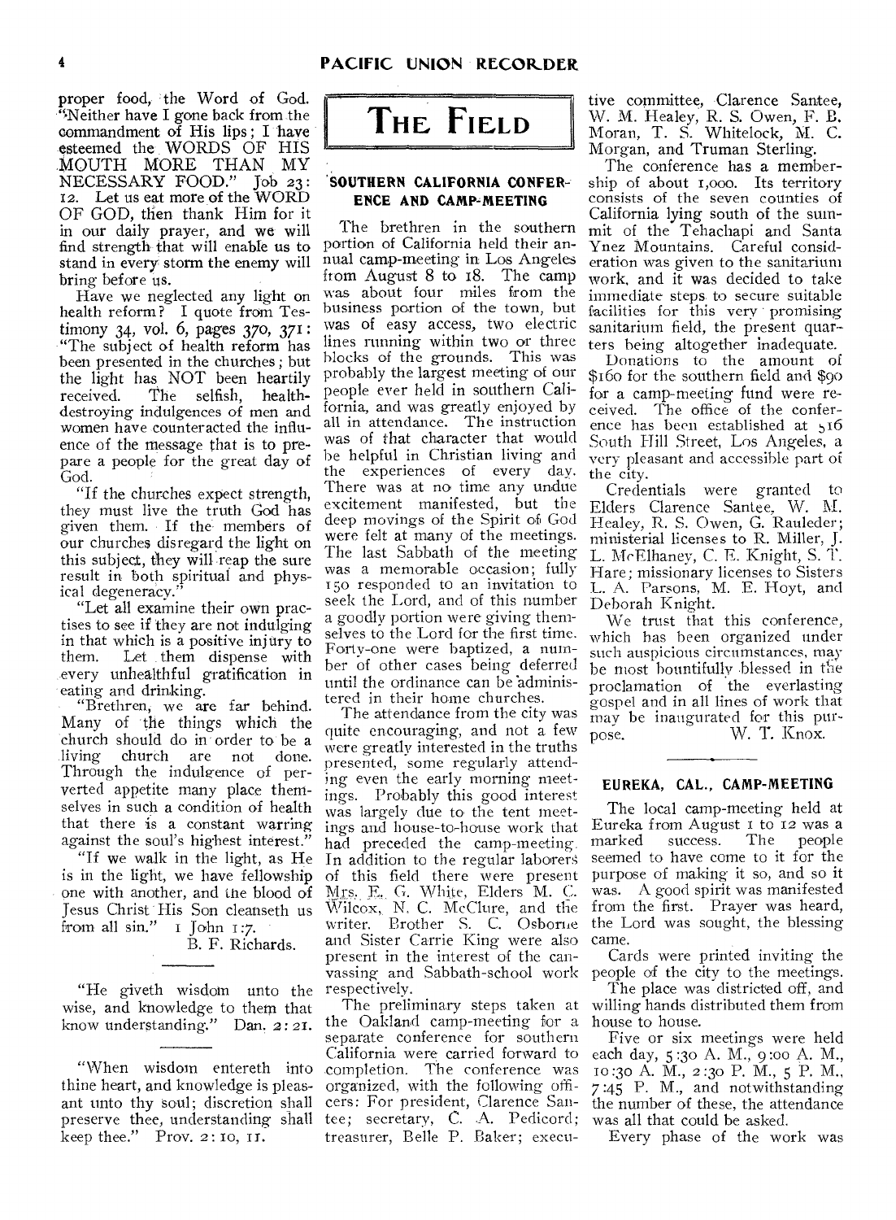**proper food, the Word of God. "Neither have I gone back from.the commandment of His lips ; I have esteemed the WORDS OF HIS MOUTH MORE THAN MY NECESSARY FOOD." Job 23:**  12. **Let us eat more of the WORD OF** GOD, then **thank Him for it in our daily prayer, and** we **will find strength that will enable us to stand in every storm the enemy will bring before us.** 

**Have we neglected any light on health reform? I quote from Testimony 34, vol. 6, pages 370, 371: "The subject of health reform has been presented in the churches ; but the light has NOT been heartily received. The selfish, healthdestroying indulgences of men and women have counteracted the influence of the message that is to prepare a people for the great day of God.** 

**"If the churches expect strength, they must live the truth God** has **given them. If the members of our churches disregard the light on this** subject, they will **reap the sure result in** both spiritual and physical degeneracy.

**"Let all examine their own practises to** see **if they are not indulging in** that which is a positive injury to Let them dispense with **every unhealthful gratification in**  eating and drinking.

"Brethren, we are far behind. **Many of the things which the church should do in order to be a living** church are not done. Through the indulgence of perverted **appetite** many place **themselves** in such a condition of health that there is a constant warring against the soul's highest interest."

"If we walk in the **light, as He**  is in the light, we have fellowship one with another, and the **blood of Jesus Christ His Son cleanseth us**  from all sin." i John 1:7. B. F. Richards.

"He giveth wisdom unto the wise, and knowledge to them that know understanding." Dan. 2:21.

"When wisdom entereth into thine heart, and knowledge is pleasant unto thy soul; discretion shall preserve thee, understanding shall keep thee." Prov. 2:10, 11.

**THE FIELD** 

## **SOUTHERN CALIFORNIA CONFER-**ENCE AND CAMP-MEETING

**The brethren in the southern portion of California held their annual camp-meeting in Los Angeles from August 8 to 18. The camp was about four miles from** the business portion of the town, but **was of** easy access, two electric lines running within two or three blocks of the grounds. This was probably the largest meeting of our people ever held in **southern California,** and was greatly enjoyed by all in attendance. The instruction was of that character that would be helpful in Christian living and the experiences of every day. There was at no time any undue excitement manifested, but the deep movings of the Spirit of God were felt at many of the meetings. The last Sabbath of the meeting was a memorable occasion; fully 150 responded to an invitation to seek the Lord, and of this number a goodly portion were giving themselves to the Lord for the first time. Forty-one were baptized, a number of other cases being deferred until the ordinance can be administered in their home churches.

The attendance from the city was quite encouraging, and not a few were greatly interested in the truths presented, some regularly attending even the early morning meetings. Probably this good interest was largely due to the tent meetings and house-to-house work that had preceded the camp-meeting. In addition to the regular laborers of this field there were present Mrs. E. G. White, Elders M. C. Wilcox, N. C. McClure, and the from the first. Prayer was heard, writer. Brother S. C. Osborne the Lord was sought, the blessing and Sister Carrie King were also present in the interest of the canvassing and Sabbath-school work respectively.

The preliminary steps taken at the Oakland camp-meeting for a separate conference for southern California were carried forward to completion. The conference was organized, with the following officers: For president, Clarence Santee; secretary, *C.* A. Pedicord; treasurer, Belle P. Baker; execu-

tive committee, Clarence Santee, **W. M. Healey, R. S. Owen, F. B. Moran, T. S. Whitelock, M. C. Morgan, and Truman Sterling.** 

**The conference has a membership** of about i,000. **Its** territory consists of the seven counties of **California lying south** of the summit of the Tehachapi and Santa Ynez Mountains. Careful consideration was given to the sanitarium work, and it was decided to take immediate steps. to secure suitable facilities for this very • promising sanitarium field, **the present** quarters being altogether inadequate.

Donations to the amount of \$16o for the southern field and \$90 **for a** camp-meeting **fund were received.** The office of the conference has been established at 516 South Hill Street, Los Angeles, a very pleasant and accessible part of the city.

Credentials were granted to Elders Clarence Santee. W. M. Healey, R. S. Owen, G. 'Rauleder; ministerial licenses to R. Miller, J. L. McElhaney, C. E. Knight, S. T. Hare; missionary licenses to Sisters L. A. Parsons, M. E. Hoyt, and Deborah Knight.

We trust that this conference, which has been organized under such auspicious circumstances, may be most bountifully blessed in the proclamation **of the** everlasting gospel and in all lines of work that may be inaugurated for this purpose. W. T. Knox.

# **EUREKA, CAL., CAMP-MEETING**

The local camp-meeting held at Eureka from August I to 12 was a<br>marked success. The people marked success. The people seemed to have come to it for the purpose of making it so, and so it was. A good spirit was manifested came.

Cards were printed inviting the people of the city to the meetings.

The place was districted off, and willing hands distributed them from house to house.

Five or six meetings were held each day, 5 :3o A. M., 9:0o A. M., to :30 A. M., 2 :30 P. M., **5 P. M.,**  7 :45 P. M., and notwithstanding the number of these, the attendance was all that could be asked.

Every phase of the work was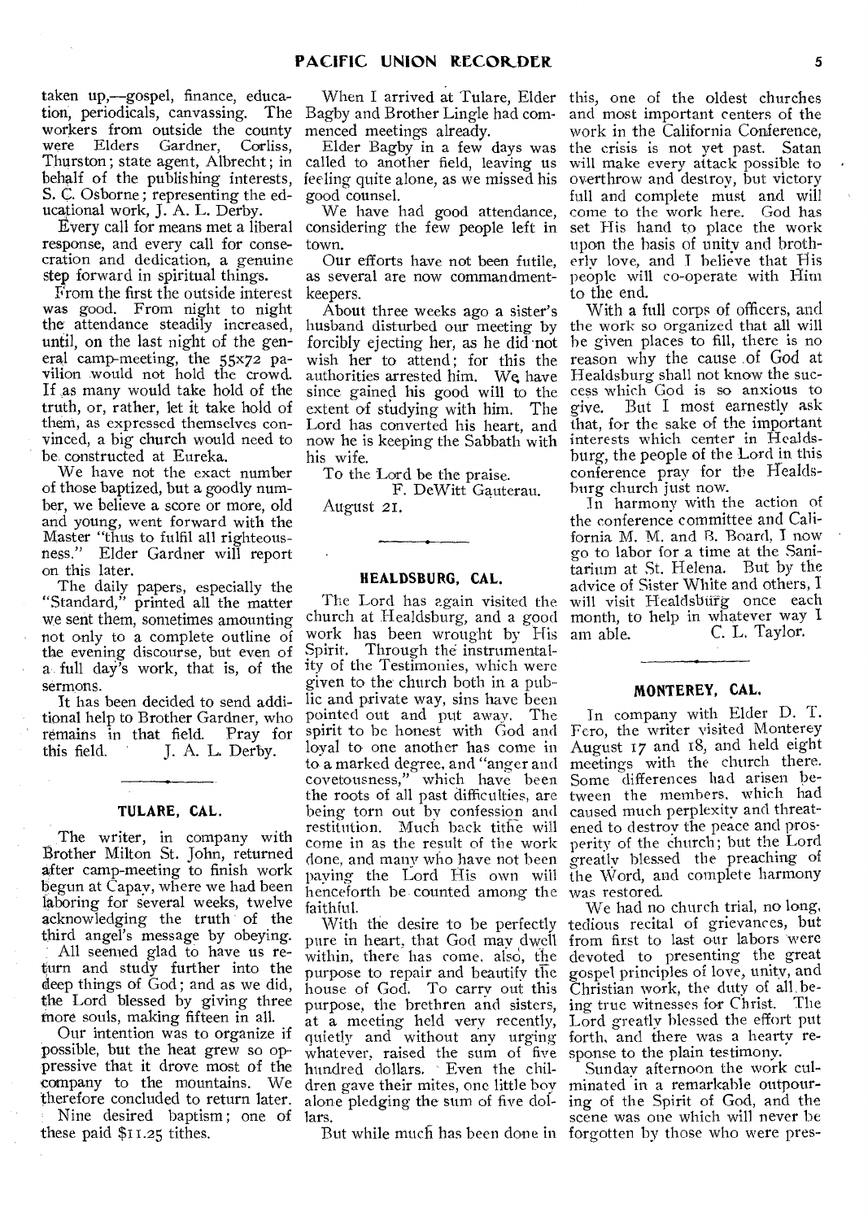taken up,—gospel, finance, education, periodicals, canvassing. The workers from outside the county<br>were Elders Gardner, Corliss, Gardner, Corliss, Thurston; state agent, Albrecht ; in behalf of the publishing interests, S. C. Osborne ; representing the educational work, J. A. L. Derby.

Every call for means met a liberal response, and every call for consecration and dedication, a genuine step forward in spiritual things.

From the first the outside interest was good. From night to night the attendance steadily increased, until, on the last night of the general camp-meeting, the 55x72 pavilion would not hold the crowd. If as many would take hold of the truth, or, rather, let it take hold of them, as expressed themselves convinced, a big church would need to be constructed at Eureka.

We have not the exact number of those baptized, but a goodly number, we believe a score or more, old and young, went forward with the Master "thus to fulfil all righteousness." Elder Gardner will report on this later.

The daily papers, especially the "Standard," printed all the matter we sent them, sometimes amounting not only to a complete outline of the evening discourse, but even of sermons.

It has been decided to send additional help to Brother Gardner, who remains in that field. Pray for<br>this field. J. A. L. Derby. J. A. L. Derby.

#### **TULARE, CAL.**

The writer, in company with Brother Milton St. John, returned after camp-meeting to finish work begun at Capay, where we had been laboring for several weeks, twelve acknowledging the truth of the third angel's message by obeying.

All seemed glad to have us return and study further into the deep things of God; and as we did, the Lord blessed by giving three more souls, making fifteen in all.

Our intention was to organize if possible, but the heat grew so oppressive that it drove most of the company to the mountains. We therefore concluded to return later.

Nine desired baptism ; one of these paid \$11.25 tithes.

Bagby and Brother Lingle had commenced meetings already.

Elder Bagby in a few days was called to another field, leaving us feeling quite alone, as we missed his good counsel.

We have had good attendance, considering the few people left in town.

Our efforts have not been futile, as several are now commandmentkeepers.

About three weeks ago a sister's husband disturbed our meeting by forcibly ejecting her, as he did not wish her to attend; for this the authorities arrested him. We have since gained his good will to the extent of studying with him. The Lord has converted his heart, and now he is keeping the Sabbath with his wife.

To the Lord be the praise.

F. DeWitt Gauterau. August 21.

## **HEALDSBURG, CAL.**

a full day's work, that is, of the ity of the Testimonies, which were The Lord has again visited the church at Healdsburg, and a good work has been wrought by His Spirit. Through the instrumentalgiven to the church both in a public and private way, sins have been pointed out and put away. The spirit to be honest with God and loyal to one another has come in to a marked degree, and "anger and covetousness," which have been the roots of all past difficulties, are being torn out by confession and restitution. Much back tithe will come in as the result of the work clone, and many who have not been paying the Lord His own will henceforth be counted among the faithful.

With the desire to be perfectly pure in heart, that God may dwell from first to last our labors were within, there has come, also, the purpose to repair and beautify the house of God. To carry out this purpose, the brethren and sisters, at a meeting held very recently, quietly and without any urging whatever, raised the sum of five hundred dollars. Even the children gave their mites, one little boy alone pledging the sum of five dollars.

When I arrived at Tulare, Elder this, one of the oldest churches and most important centers of the work in the California Conference, the crisis is not yet past. Satan will make every attack possible to overthrow and destroy, but victory full and complete must and will come to the work here. God has set His hand to place the work upon the basis of unity and brotherly love, and I believe that His people will co-operate with Him to the end.

> With a full corps of officers, and the work so organized that all will he given places to fill, there is no reason why the cause .of God at Healdsburg shall not know the success which God is so anxious to<br>give. But I most earnestly ask But I most earnestly ask that, for the sake of the important interests which center in Healdsburg, the people of the Lord in this conference pray for the Healdsburg church just now.

> In harmony with the action of the conference committee and California M. M. and B. Board, I now go to labor for a time at the Sanitarium at St. Helena. But by the advice of Sister White and others, I will visit Healdsburg once each month, to help in whatever way I am able. C. L, Taylor.

## **MONTEREY, CAL.**

In company with Elder D. T. Fero, the writer visited Monterey August 17 and IS, and held eight meetings with the church there. Some differences had arisen between the members, which had caused much perplexity and threatened to destroy the peace and prosperity of the church; but the Lord greatly blessed the preaching of the Word, and complete harmony was restored.

We had no church trial, no long, tedious recital of grievances, but devoted to presenting the great gospel principles of love, unity, and Christian work, the duty of all being true witnesses for Christ. The Lord greatly blessed the effort put forth, and there was a hearty response to the plain testimony.

But while much has been done in forgotten by those who were pres-Sunday afternoon the work culminated in a remarkable outpouring of the Spirit of God, and the scene was one which will never be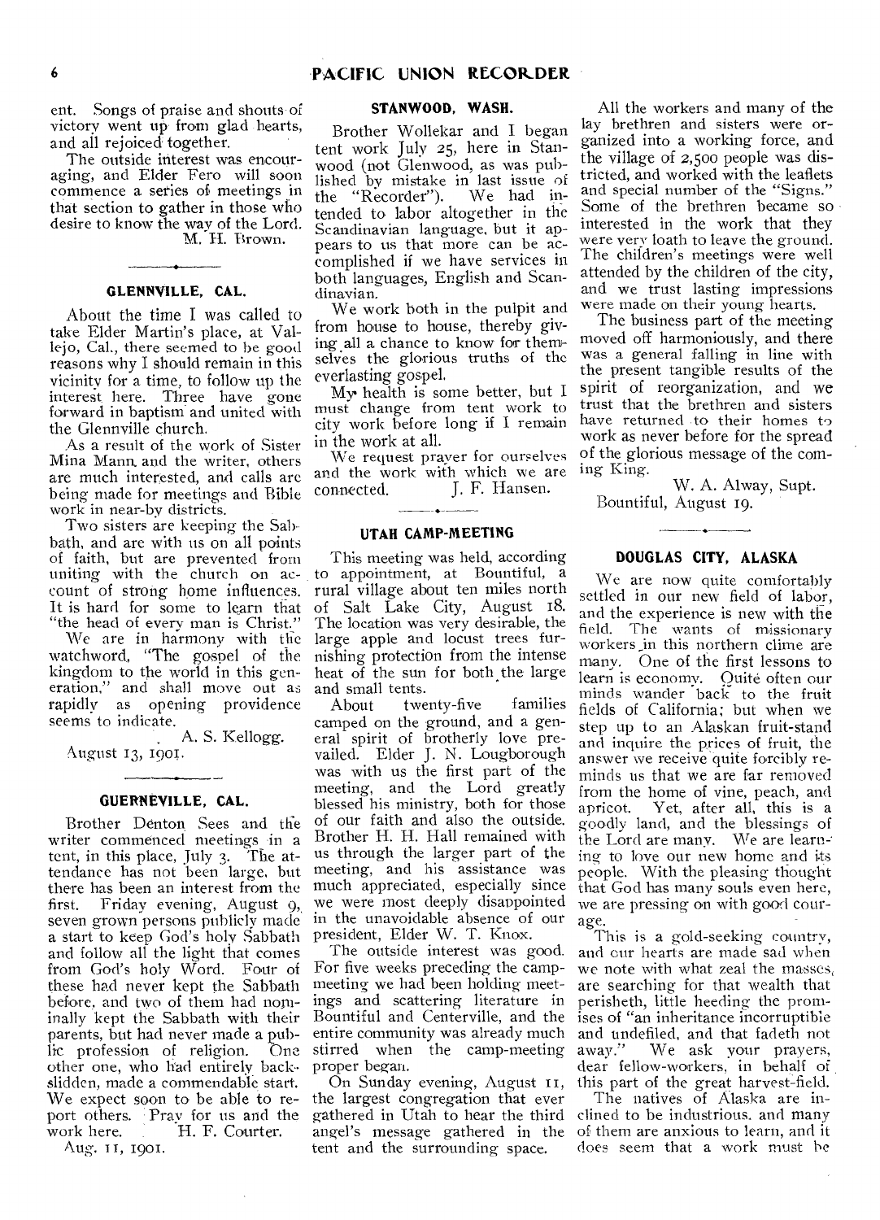ent. Songs of praise and shouts of victory went up from glad hearts, and all rejoiced together.

The outside interest was encouraging, and Elder Fero will soon commence a series of meetings in that section to gather in those who desire to know the way of the Lord. M. H. Brown.

## **GLENNVILLE, CAL.**

About the time I was called to take Elder Martin's place, at Vallejo, Cal., there seemed to be good reasons why I should remain in this vicinity for a time, to follow up the interest here. Three have gone forward in baptism and united with the Glennville church.

As a result of the work of Sister Mina Mann. and the writer, others are much interested, and calls are being made for meetings and Bible work in near-by districts.

Two sisters are keeping the Sal). bath, and are with us on all points of faith, but are prevented from count of strong home influences. It is hard for some to learn that "the head of every man is Christ."

We are in harmony with the watchword., "The gospel of the kingdom to the world in this generation," and shall move out as rapidly as opening providence seems to indicate.

A. S. Kellogg. August 13, 1901.

#### **GUERNEVILLE, CAL.**

Brother Denton Sees and the writer commenced meetings in a tent, in this place, July 3. The attendance has not been large, but there has been an interest from the first. Friday evening, August 9, seven grown persons publicly made a start to keep God's holy Sabbath and follow all the light that comes from God's holy Word. Four of these had never kept the Sabbath before, and two of them had nominally kept the Sabbath with their parents, but had never made a pub-<br>lic profession of religion. One lic profession of religion. other one, who had entirely backslidden, made a commendable start. We expect soon to be able to report others. Pray for us and the work here. H. F. Courter.

Aug. II, 1901.

## **STANWOOD, WASH.**

Brother Wollekar and I began tent work July 25, here in Stanwood (not Glenwood, as was published by mistake in last issue of<br>the "Recorder"). We had inthe "Recorder"). tended to labor altogether in the Scandinavian language, but it appears to us that more can be accomplished if we have services in both languages, English and Scandinavian.

We work both in the pulpit and from house to house, thereby giving all a chance to know for themselves the glorious truths of the everlasting gospel.

My health is some better, but I must change from tent work to city work before long if I remain in the work at all.

We request prayer for ourselves and the work with which we are<br>connected. [. F. Hansen.] J. F. Hansen.

## **UTAH CAMP-MEETING**

uniting with the church on ac- to appointment, at Bountiful, a This meeting was held, according rural village about ten miles north of Salt Lake City, August 18. The location was very desirable, the large apple and locust trees furnishing protection from the intense heat of the sun for both the large and small tents.<br>About twe

twenty-five families camped on the ground, and a general spirit of brotherly love prevailed. Elder J. N. Lougborough was with us the first part of the meeting, and the Lord greatly blessed his ministry, both for those of our faith and also the outside. Brother H. H. Hall remained with us through the larger part of the meeting, and his assistance was much appreciated, especially since we were most deeply disappointed in the unavoidable absence of our president, Elder W. T. Knox.

The outside interest was good. For five weeks preceding the campmeeting we had been holding meetings and scattering literature in Bountiful and Centerville, and the entire community was already much stirred when the camp-meeting proper began.

On Sunday evening, August II, the largest congregation that ever gathered in Utah to hear the third angel's message gathered in the tent and the surrounding space.

All the workers and many of the lay brethren and sisters were organized into a working force, and the village of 2,50o people was districted, and worked with the leaflets and special number of the "Signs." Some of the brethren became so interested in the work that they were very loath to leave the ground. The children's meetings were well attended by the children of the city, and we trust lasting impressions were made on their young hearts.

The business part of the meeting moved off harmoniously, and there was a general falling in line with the present tangible results of the spirit of reorganization, and we trust that the brethren and sisters have returned to their homes to work as never before for the spread of the glorious message of the coming King.

W. A. Alway, Supt. Bountiful, August 19.

# <u> Alexandria de la conte</u> **DOUGLAS CITY, ALASKA**

We are now quite comfortably settled in our new field of labor, and the experience is new with the field. The wants of missionary workers in this northern clime are many. One of the first lessons to learn is economy. Quite often our minds wander back to the fruit fields of California: but when we step up to an Alaskan fruit-stand and inquire the prices of fruit, the answer we receive quite forcibly reminds us that we are far removed from the home of vine, peach, and<br>apricot. Yet, after all, this is a Yet, after all, this is a goodly land, and the blessings of the Lord are many. We are learning to love our new home and its people. With the pleasing thought that God has many souls even here, we are pressing on with good courage.

This is a gold-seeking country, and our hearts are made sad when we note with what zeal the masses, are searching for that wealth that perisheth, little heeding the promises of "an inheritance incorruptible and undefiled, and that fadeth not away." We ask your prayers, dear fellow-workers, in behalf of this part of the great harvest-field.

The natives of Alaska are inclined to be industrious, and many of them are anxious to learn, and it does seem that a work must be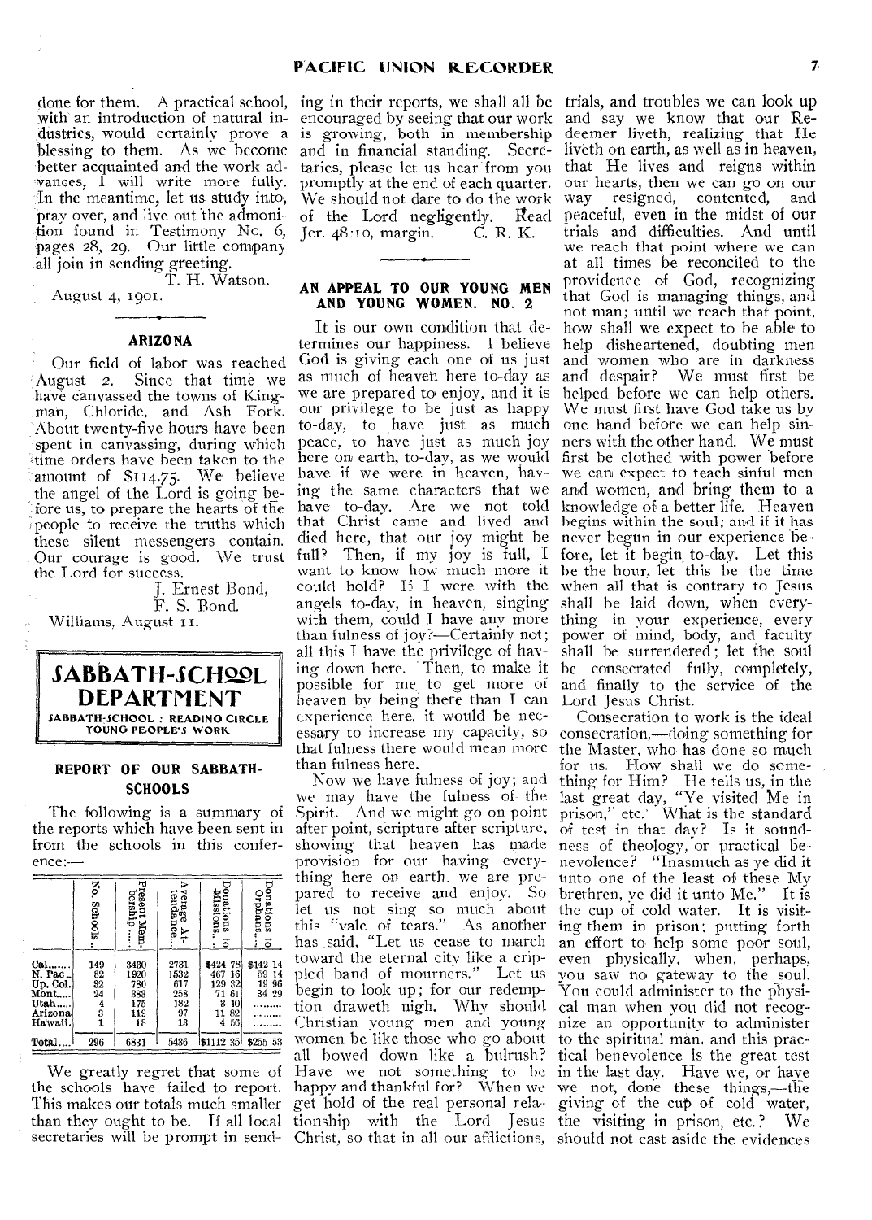with an introduction of natural in- encouraged by seeing that our work and say we know that our Redustries, would certainly prove a is growing, both in membership deemer liveth, realizing that He blessing to them. As we become and in financial standing. Secre-liveth on earth, as well as in heaven, better acquainted and the work advances, I will write more fully. In the meantime, let us study into, pray over, and live out the admoni- of the Lord negligently. Read peaceful, even in the midst of our tion found in Testimony No. 6, pages 28, 29. Our little company all join in sending greeting.

T. H. Watson.

## August 4, 1901.

# **ARIZONA**

Our field of labor was reached<br>August 2. Since that time we Since that time we have canvassed the towns of Kingman, Chloride, and Ash Fork. :About twenty-five hours have been spent in canvassing, during which time orders have been taken to the amount of \$114.75. We believe the angel of the Lord is going before us, to prepare the hearts of the these silent messengers contain. Our courage is good. We trust full? the Lord for success.

J. Ernest Bond, F. S. Bond. Williams, August 11.



## **REPORT OF OUR SABBATH-SCHOOLS**

The following is a summary of the reports which have been sent in from the schools in this conference:--

|                                                                   | ž.<br>Schools                                            | resent Mem-<br>bership                         | ъ<br>verage At-<br>tendance<br>Ŧ٢             | onations<br>Missions.<br>$\vec{\circ}$                                              | Orphans<br>nations<br>$\vec{c}$        |
|-------------------------------------------------------------------|----------------------------------------------------------|------------------------------------------------|-----------------------------------------------|-------------------------------------------------------------------------------------|----------------------------------------|
| Cal.<br>N. Pac.<br>Up. Col.<br>Mont<br>Utah<br>Arizona<br>Hawaii. | 149<br>82<br>32<br>$\overline{24}$<br>$\frac{4}{3}$<br>1 | 3430<br>1920<br>780<br>383<br>175<br>119<br>18 | 2731<br>1532<br>617<br>258<br>182<br>97<br>13 | 78<br>\$424<br>467<br>16<br>129<br>32<br>71<br>61<br>3<br>10<br>82<br>11<br>4<br>56 | \$142 14<br>59 14<br>19<br>96<br>34 29 |
| Total                                                             | 296                                                      | 6831                                           | 5436                                          | $\$1112$ 35                                                                         | \$255 58                               |

We greatly regret that some of the schools have failed to report. This makes our totals much smaller secretaries will be prompt in send-

We should not dare to do the work way Jer. 48:10, margin. C. R. K.

## **AN APPEAL TO OUR YOUNG MEN AND YOUNG WOMEN. NO. 2**

people to receive the truths which that Christ came and lived and It is our own condition that determines our happiness. I believe God is giving each one of us just as much of heaven here to-day as we are prepared to enjoy, and it is our privilege to be just as happy to-day, to have just as much one hand before we can help sinpeace, to have just as much joy here on earth, to-day, as we would have if we were in heaven, having the same characters that we and women, and bring them to a have to-day. Are we not told died here, that our joy might be Then, if my joy is full, I want to know how much more it could hold? If I were with the angels to-day, in heaven, singing shall he laid down, when everywith them, could I have any more than fulness of joy?—Certainly not; all this I have the privilege of having down here. Then, to make it possible for me, to get more of heaven by being there than I can experience here, it would be necessary to increase my capacity, so that fulness there would mean more than fulness here.

than they ought to be. If all local tionship with the Lord Jesus the visiting in prison, etc.? We Now we have fulness of joy; and we may have the fulness of- the Spirit. And we might go on point after point, scripture after scripture, showing that heaven has made ness of theology, or practical beprovision for our having everything here on earth. we are prepared to receive and enjoy. So let us not sing so much about this "vale of tears." As another has said, "Let us cease to march an effort to help some poor soul, toward the eternal city like a crippled band of mourners." Let us begin to look up; for our redemption draweth nigh. Why should Christian young men and young women be like those who go about all bowed down like a bulrush? Have we not something to be happy and thankful for? When we get hold of the real personal rela-

done for them. A practical school, ing in their reports, we shall all be trials, and troubles we can look up taries, please let us hear from you that He lives and reigns within promptly at the end of each quarter. our hearts, then we can go on our resigned, contented, and trials and difficulties. And until we reach that point where we can at all times be reconciled to the providence of God, recognizing that God is managing things, and not man; until we reach that point, how shall we expect to be able to help disheartened, doubting men and women who are in darkness and despair? We must first be helped before we can help others. We must first have God take us by ners with the other hand. We must first be clothed with power before we can expect to teach sinful men knowledge of a better life. Heaven begins within the soul; and if it has never begun in our experience before, let it begin, to-day. Let this he the hour, let this be the time when all that is contrary to Jesus thing in your experience, every power of mind, body, and faculty shall be surrendered; let the soul be consecrated fully, completely, and finally to the service of the Lord Jesus Christ.

> Christ, so that in all our afflictions, should not cast aside the evidences Consecration to work is the ideal consecration,—doing something for the Master, who has done so much for us. How shall we do something for Him? He tells us, in the last great day, "Ye visited Me in prison," etc.' What is the standard of test in that day? Is it soundnevolence? "Inasmuch as ye did it unto one of the least of these My brethren, ye did it unto Me." It is the cup of cold water. It is visiting them in prison; putting forth even physically, when, perhaps, you saw no gateway to the soul. You could administer to the physical man when you did not recognize an opportunity to administer to the spiritual man, and this practical benevolence is the great test in the last day. Have we, or have we not, done these things,—the giving of the cup of cold water,